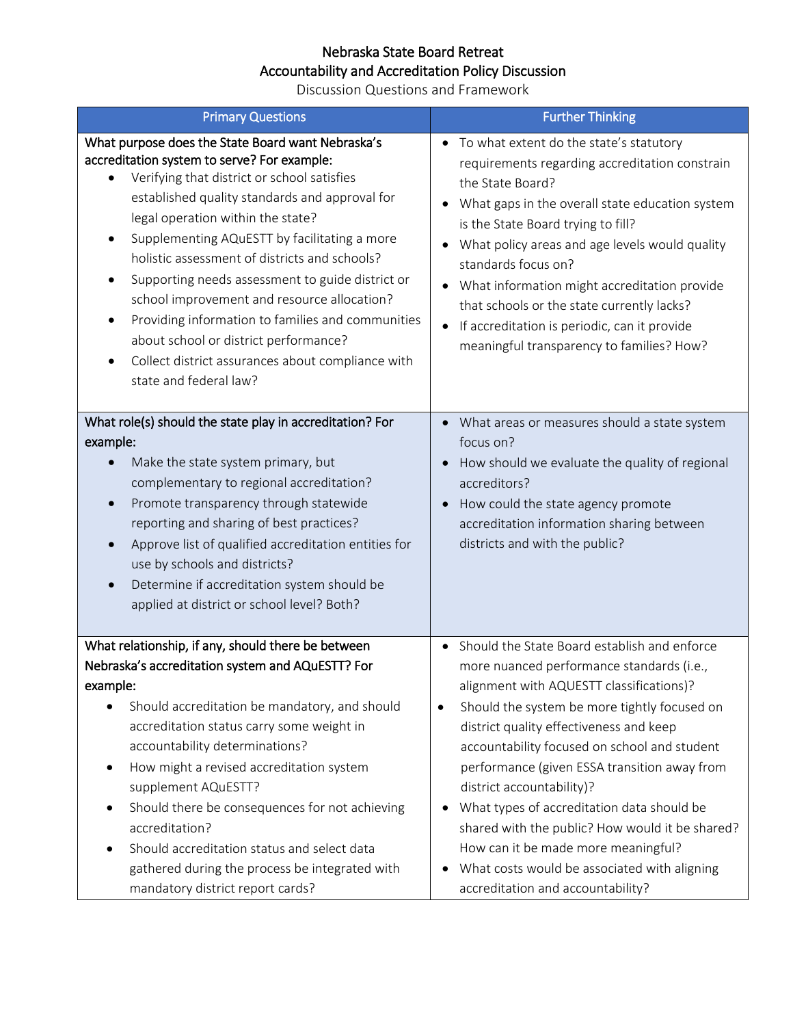## Nebraska State Board Retreat Accountability and Accreditation Policy Discussion

Discussion Questions and Framework

| <b>Primary Questions</b>                                                                                                                                                                                                                                                                                                                                                                                                                                                                                                                                                                                                                            | <b>Further Thinking</b>                                                                                                                                                                                                                                                                                                                                                                                                                                                                                                                                                                         |
|-----------------------------------------------------------------------------------------------------------------------------------------------------------------------------------------------------------------------------------------------------------------------------------------------------------------------------------------------------------------------------------------------------------------------------------------------------------------------------------------------------------------------------------------------------------------------------------------------------------------------------------------------------|-------------------------------------------------------------------------------------------------------------------------------------------------------------------------------------------------------------------------------------------------------------------------------------------------------------------------------------------------------------------------------------------------------------------------------------------------------------------------------------------------------------------------------------------------------------------------------------------------|
| What purpose does the State Board want Nebraska's<br>accreditation system to serve? For example:<br>Verifying that district or school satisfies<br>established quality standards and approval for<br>legal operation within the state?<br>Supplementing AQuESTT by facilitating a more<br>٠<br>holistic assessment of districts and schools?<br>Supporting needs assessment to guide district or<br>٠<br>school improvement and resource allocation?<br>Providing information to families and communities<br>٠<br>about school or district performance?<br>Collect district assurances about compliance with<br>$\bullet$<br>state and federal law? | • To what extent do the state's statutory<br>requirements regarding accreditation constrain<br>the State Board?<br>What gaps in the overall state education system<br>is the State Board trying to fill?<br>What policy areas and age levels would quality<br>standards focus on?<br>What information might accreditation provide<br>that schools or the state currently lacks?<br>If accreditation is periodic, can it provide<br>meaningful transparency to families? How?                                                                                                                    |
| What role(s) should the state play in accreditation? For<br>example:<br>Make the state system primary, but<br>complementary to regional accreditation?<br>Promote transparency through statewide<br>$\bullet$<br>reporting and sharing of best practices?<br>Approve list of qualified accreditation entities for<br>use by schools and districts?<br>Determine if accreditation system should be<br>applied at district or school level? Both?                                                                                                                                                                                                     | • What areas or measures should a state system<br>focus on?<br>How should we evaluate the quality of regional<br>accreditors?<br>How could the state agency promote<br>accreditation information sharing between<br>districts and with the public?                                                                                                                                                                                                                                                                                                                                              |
| What relationship, if any, should there be between<br>Nebraska's accreditation system and AQuESTT? For<br>example:<br>Should accreditation be mandatory, and should<br>$\bullet$<br>accreditation status carry some weight in<br>accountability determinations?<br>How might a revised accreditation system<br>supplement AQuESTT?<br>Should there be consequences for not achieving<br>accreditation?<br>Should accreditation status and select data<br>gathered during the process be integrated with<br>mandatory district report cards?                                                                                                         | Should the State Board establish and enforce<br>more nuanced performance standards (i.e.,<br>alignment with AQUESTT classifications)?<br>Should the system be more tightly focused on<br>٠<br>district quality effectiveness and keep<br>accountability focused on school and student<br>performance (given ESSA transition away from<br>district accountability)?<br>What types of accreditation data should be<br>shared with the public? How would it be shared?<br>How can it be made more meaningful?<br>What costs would be associated with aligning<br>accreditation and accountability? |